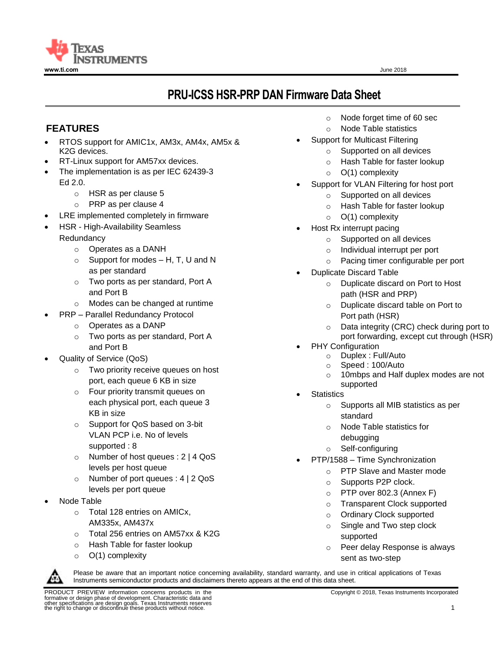

# **PRU-ICSS HSR-PRP DAN Firmware Data Sheet**

# **FEATURES**

- RTOS support for AMIC1x, AM3x, AM4x, AM5x & K2G devices.
- RT-Linux support for AM57xx devices.
- The implementation is as per IEC 62439-3 Ed 2.0.
	- o HSR as per clause 5
	- o PRP as per clause 4
- LRE implemented completely in firmware
- HSR High-Availability Seamless **Redundancy** 
	- o Operates as a DANH
	- $\circ$  Support for modes H, T, U and N as per standard
	- o Two ports as per standard, Port A and Port B
	- o Modes can be changed at runtime
	- PRP Parallel Redundancy Protocol
		- o Operates as a DANP
		- o Two ports as per standard, Port A and Port B
- Quality of Service (QoS)
	- o Two priority receive queues on host port, each queue 6 KB in size
	- o Four priority transmit queues on each physical port, each queue 3 KB in size
	- o Support for QoS based on 3-bit VLAN PCP i.e. No of levels supported : 8
	- o Number of host queues : 2 | 4 QoS levels per host queue
	- o Number of port queues : 4 | 2 QoS levels per port queue
- Node Table
	- o Total 128 entries on AMICx, AM335x, AM437x
	- o Total 256 entries on AM57xx & K2G
	- o Hash Table for faster lookup
	- $\circ$  O(1) complexity
- o Node forget time of 60 sec
- o Node Table statistics
- Support for Multicast Filtering
	- o Supported on all devices
	- o Hash Table for faster lookup
	- $\circ$  O(1) complexity
- Support for VLAN Filtering for host port
	- o Supported on all devices
	- o Hash Table for faster lookup
	- $\circ$  O(1) complexity
	- Host Rx interrupt pacing
		- o Supported on all devices
		- o Individual interrupt per port
		- o Pacing timer configurable per port
- Duplicate Discard Table
	- o Duplicate discard on Port to Host path (HSR and PRP)
	- o Duplicate discard table on Port to Port path (HSR)
	- o Data integrity (CRC) check during port to port forwarding, except cut through (HSR)
- PHY Configuration
	- o Duplex : Full/Auto
	- o Speed : 100/Auto
	- o 10mbps and Half duplex modes are not supported
- **Statistics** 
	- o Supports all MIB statistics as per standard
	- o Node Table statistics for debugging
	- o Self-configuring
	- PTP/1588 Time Synchronization
		- o PTP Slave and Master mode
		- o Supports P2P clock.
		- o PTP over 802.3 (Annex F)
		- o Transparent Clock supported
		- o Ordinary Clock supported
		- o Single and Two step clock supported
		- o Peer delay Response is always sent as two-step



Please be aware that an important notice concerning availability, standard warranty, and use in critical applications of Texas Instruments semiconductor products and disclaimers thereto appears at the end of this data sheet.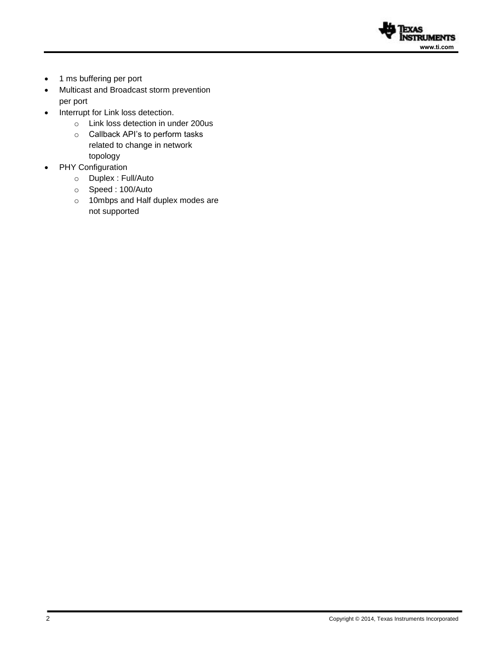

- 1 ms buffering per port
- Multicast and Broadcast storm prevention per port
- Interrupt for Link loss detection.
	- o Link loss detection in under 200us
	- o Callback API's to perform tasks related to change in network topology
- PHY Configuration
	- o Duplex : Full/Auto
	- o Speed : 100/Auto
	- o 10mbps and Half duplex modes are not supported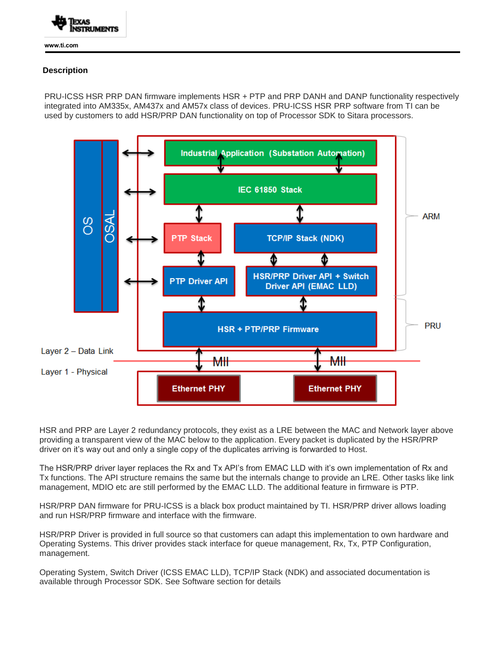

**www.ti.com** 

#### **Description**

PRU-ICSS HSR PRP DAN firmware implements HSR + PTP and PRP DANH and DANP functionality respectively integrated into AM335x, AM437x and AM57x class of devices. PRU-ICSS HSR PRP software from TI can be used by customers to add HSR/PRP DAN functionality on top of Processor SDK to Sitara processors.



HSR and PRP are Layer 2 redundancy protocols, they exist as a LRE between the MAC and Network layer above providing a transparent view of the MAC below to the application. Every packet is duplicated by the HSR/PRP driver on it's way out and only a single copy of the duplicates arriving is forwarded to Host.

The HSR/PRP driver layer replaces the Rx and Tx API's from EMAC LLD with it's own implementation of Rx and Tx functions. The API structure remains the same but the internals change to provide an LRE. Other tasks like link management, MDIO etc are still performed by the EMAC LLD. The additional feature in firmware is PTP.

HSR/PRP DAN firmware for PRU-ICSS is a black box product maintained by TI. HSR/PRP driver allows loading and run HSR/PRP firmware and interface with the firmware.

HSR/PRP Driver is provided in full source so that customers can adapt this implementation to own hardware and Operating Systems. This driver provides stack interface for queue management, Rx, Tx, PTP Configuration, management.

Operating System, Switch Driver (ICSS EMAC LLD), TCP/IP Stack (NDK) and associated documentation is available through Processor SDK. See Software section for details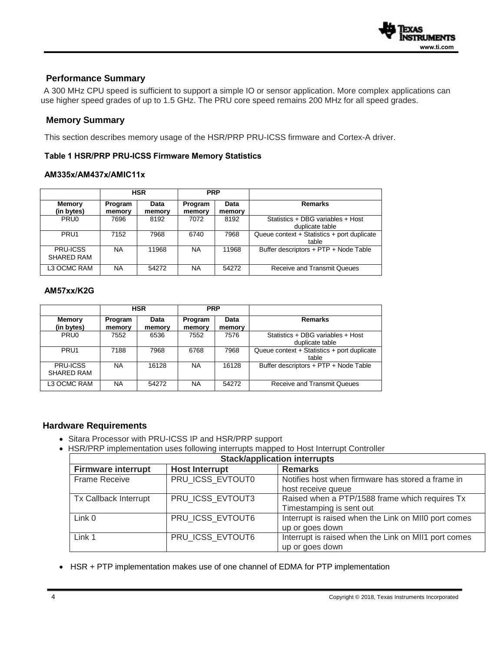

### **Performance Summary**

 A 300 MHz CPU speed is sufficient to support a simple IO or sensor application. More complex applications can use higher speed grades of up to 1.5 GHz. The PRU core speed remains 200 MHz for all speed grades.

#### **Memory Summary**

This section describes memory usage of the HSR/PRP PRU-ICSS firmware and Cortex-A driver.

#### **Table 1 HSR/PRP PRU-ICSS Firmware Memory Statistics**

#### **AM335x/AM437x/AMIC11x**

|                               | <b>HSR</b>        |                | <b>PRP</b>        |                |                                                      |
|-------------------------------|-------------------|----------------|-------------------|----------------|------------------------------------------------------|
| <b>Memory</b><br>(in bytes)   | Program<br>memory | Data<br>memory | Program<br>memory | Data<br>memory | <b>Remarks</b>                                       |
| PRU <sub>0</sub>              | 7696              | 8192           | 7072              | 8192           | Statistics + DBG variables + Host<br>duplicate table |
| PRU <sub>1</sub>              | 7152              | 7968           | 6740              | 7968           | Queue context + Statistics + port duplicate<br>table |
| <b>PRU-ICSS</b><br>SHARED RAM | <b>NA</b>         | 11968          | <b>NA</b>         | 11968          | Buffer descriptors + PTP + Node Table                |
| L3 OCMC RAM                   | <b>NA</b>         | 54272          | <b>NA</b>         | 54272          | <b>Receive and Transmit Queues</b>                   |

### **AM57xx/K2G**

|                               |                   | <b>HSR</b>     | <b>PRP</b>        |                |                                                      |
|-------------------------------|-------------------|----------------|-------------------|----------------|------------------------------------------------------|
| <b>Memory</b><br>(in bytes)   | Program<br>memory | Data<br>memory | Program<br>memory | Data<br>memory | <b>Remarks</b>                                       |
| PRU <sub>0</sub>              | 7552              | 6536           | 7552              | 7576           | Statistics + DBG variables + Host<br>duplicate table |
| PRU <sub>1</sub>              | 7188              | 7968           | 6768              | 7968           | Queue context + Statistics + port duplicate<br>table |
| <b>PRU-ICSS</b><br>SHARED RAM | <b>NA</b>         | 16128          | <b>NA</b>         | 16128          | Buffer descriptors + PTP + Node Table                |
| L3 OCMC RAM                   | <b>NA</b>         | 54272          | <b>NA</b>         | 54272          | <b>Receive and Transmit Queues</b>                   |

#### **Hardware Requirements**

- Sitara Processor with PRU-ICSS IP and HSR/PRP support
- HSR/PRP implementation uses following interrupts mapped to Host Interrupt Controller

| <b>Stack/application interrupts</b> |                       |                                                      |  |  |
|-------------------------------------|-----------------------|------------------------------------------------------|--|--|
| <b>Firmware interrupt</b>           | <b>Host Interrupt</b> | <b>Remarks</b>                                       |  |  |
| <b>Frame Receive</b>                | PRU_ICSS_EVTOUT0      | Notifies host when firmware has stored a frame in    |  |  |
|                                     |                       | host receive queue                                   |  |  |
| Tx Callback Interrupt               | PRU ICSS EVTOUT3      | Raised when a PTP/1588 frame which requires Tx       |  |  |
|                                     |                       | Timestamping is sent out                             |  |  |
| Link 0                              | PRU ICSS EVTOUT6      | Interrupt is raised when the Link on MII0 port comes |  |  |
|                                     |                       | up or goes down                                      |  |  |
| Link 1                              | PRU ICSS EVTOUT6      | Interrupt is raised when the Link on MII1 port comes |  |  |
|                                     |                       | up or goes down                                      |  |  |

HSR + PTP implementation makes use of one channel of EDMA for PTP implementation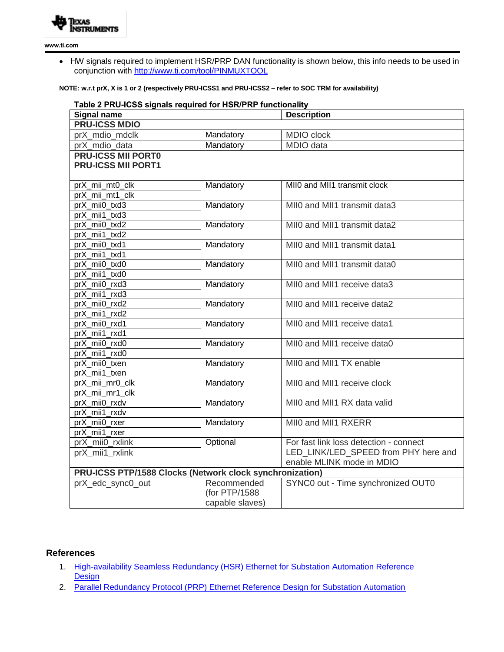

**www.ti.com** 

 HW signals required to implement HSR/PRP DAN functionality is shown below, this info needs to be used in conjunction with<http://www.ti.com/tool/PINMUXTOOL>

#### **NOTE: w.r.t prX, X is 1 or 2 (respectively PRU-ICSS1 and PRU-ICSS2 – refer to SOC TRM for availability)**

| Table 2 PRU-ICSS signals required for HSR/PRP functionality |                 |                                        |  |  |  |  |
|-------------------------------------------------------------|-----------------|----------------------------------------|--|--|--|--|
| <b>Signal name</b>                                          |                 | <b>Description</b>                     |  |  |  |  |
| <b>PRU-ICSS MDIO</b>                                        |                 |                                        |  |  |  |  |
| prX mdio mdclk                                              | Mandatory       | MDIO clock                             |  |  |  |  |
| prX_mdio_data                                               | Mandatory       | MDIO data                              |  |  |  |  |
| <b>PRU-ICSS MII PORTO</b>                                   |                 |                                        |  |  |  |  |
| <b>PRU-ICSS MII PORT1</b>                                   |                 |                                        |  |  |  |  |
|                                                             |                 |                                        |  |  |  |  |
| prX_mii_mt0_clk                                             | Mandatory       | MII0 and MII1 transmit clock           |  |  |  |  |
| prX_mii_mt1_clk                                             |                 |                                        |  |  |  |  |
| prX mii0 txd3                                               | Mandatory       | MII0 and MII1 transmit data3           |  |  |  |  |
| prX mii1 txd3                                               |                 |                                        |  |  |  |  |
| prX mii0 txd2                                               | Mandatory       | MII0 and MII1 transmit data2           |  |  |  |  |
| prX mii1 txd2                                               |                 |                                        |  |  |  |  |
| prX mii0 txd1                                               | Mandatory       | MII0 and MII1 transmit data1           |  |  |  |  |
| prX_mii1_txd1                                               |                 |                                        |  |  |  |  |
| prX_mii0_txd0                                               | Mandatory       | MIIO and MII1 transmit data0           |  |  |  |  |
| prX mii1 txd0                                               |                 |                                        |  |  |  |  |
| prX_mii0_rxd3                                               | Mandatory       | MII0 and MII1 receive data3            |  |  |  |  |
| prX_mii1_rxd3                                               |                 |                                        |  |  |  |  |
| prX_mii0_rxd2                                               | Mandatory       | MII0 and MII1 receive data2            |  |  |  |  |
| prX_mii1_rxd2                                               |                 |                                        |  |  |  |  |
| prX_mii0_rxd1                                               | Mandatory       | MII0 and MII1 receive data1            |  |  |  |  |
| prX mii1 rxd1                                               |                 |                                        |  |  |  |  |
| prX_mii0_rxd0                                               | Mandatory       | MII0 and MII1 receive data0            |  |  |  |  |
| prX mii1 rxd0                                               |                 |                                        |  |  |  |  |
| prX mii0 txen                                               | Mandatory       | MII0 and MII1 TX enable                |  |  |  |  |
| prX_mii1_txen                                               |                 |                                        |  |  |  |  |
| prX mii mr0 clk                                             | Mandatory       | MII0 and MII1 receive clock            |  |  |  |  |
| prX_mii_mr1_clk                                             |                 |                                        |  |  |  |  |
| prX_mii0_rxdv                                               | Mandatory       | MII0 and MII1 RX data valid            |  |  |  |  |
| prX_mii1_rxdv                                               |                 |                                        |  |  |  |  |
| prX_mii0_rxer                                               | Mandatory       | MII0 and MII1 RXERR                    |  |  |  |  |
| prX mii1 rxer                                               |                 |                                        |  |  |  |  |
| prX mii0 rxlink                                             | Optional        | For fast link loss detection - connect |  |  |  |  |
| prX mii1 rxlink                                             |                 | LED LINK/LED SPEED from PHY here and   |  |  |  |  |
|                                                             |                 | enable MLINK mode in MDIO              |  |  |  |  |
| PRU-ICSS PTP/1588 Clocks (Network clock synchronization)    |                 |                                        |  |  |  |  |
| prX_edc_sync0_out                                           | Recommended     | SYNC0 out - Time synchronized OUT0     |  |  |  |  |
|                                                             | (for PTP/1588   |                                        |  |  |  |  |
|                                                             | capable slaves) |                                        |  |  |  |  |

## **References**

- 1. High-availability Seamless Redundancy (HSR) Ethernet for Substation Automation Reference **[Design](http://www.ti.com/tool/TIDEP0053)**
- 2. [Parallel Redundancy Protocol \(PRP\) Ethernet Reference Design for Substation Automation](http://www.ti.com/lit/ug/tidubn6/tidubn6.pdf)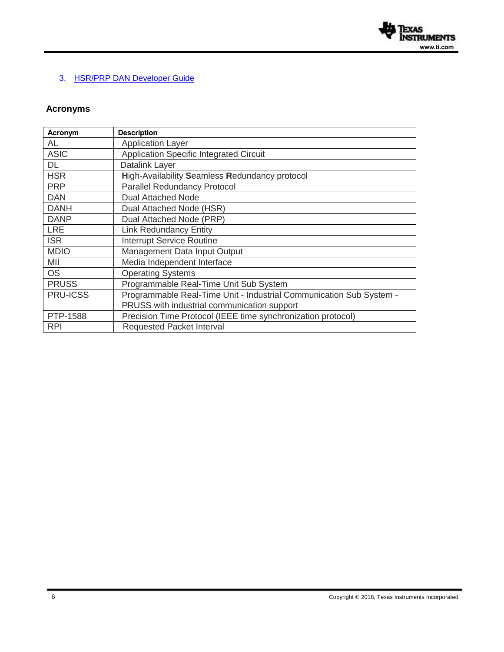

# 3. HSR/PRP DAN [Developer Guide](http://processors.wiki.ti.com/index.php/ICSS_HSR_PRP_Developer_Guide)

# **Acronyms**

| Acronym         | <b>Description</b>                                                  |
|-----------------|---------------------------------------------------------------------|
| AL              | <b>Application Layer</b>                                            |
| <b>ASIC</b>     | Application Specific Integrated Circuit                             |
| DL              | Datalink Layer                                                      |
| <b>HSR</b>      | High-Availability Seamless Redundancy protocol                      |
| <b>PRP</b>      | <b>Parallel Redundancy Protocol</b>                                 |
| <b>DAN</b>      | <b>Dual Attached Node</b>                                           |
| <b>DANH</b>     | Dual Attached Node (HSR)                                            |
| <b>DANP</b>     | Dual Attached Node (PRP)                                            |
| <b>LRE</b>      | <b>Link Redundancy Entity</b>                                       |
| <b>ISR</b>      | <b>Interrupt Service Routine</b>                                    |
| <b>MDIO</b>     | Management Data Input Output                                        |
| MII             | Media Independent Interface                                         |
| <b>OS</b>       | <b>Operating Systems</b>                                            |
| <b>PRUSS</b>    | Programmable Real-Time Unit Sub System                              |
| <b>PRU-ICSS</b> | Programmable Real-Time Unit - Industrial Communication Sub System - |
|                 | PRUSS with industrial communication support                         |
| PTP-1588        | Precision Time Protocol (IEEE time synchronization protocol)        |
| <b>RPI</b>      | <b>Requested Packet Interval</b>                                    |